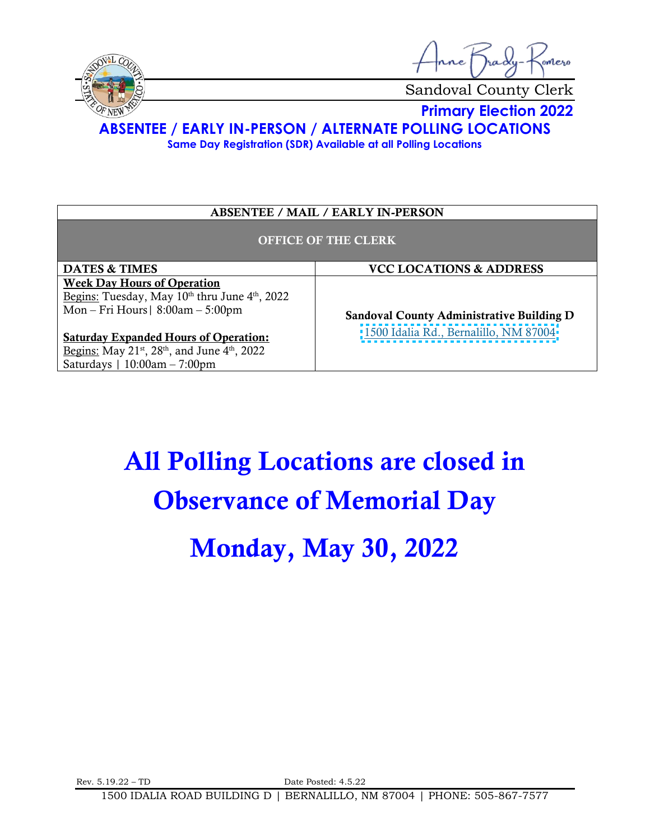



Sandoval County Clerk

**Primary Election 2022**

**ABSENTEE / EARLY IN-PERSON / ALTERNATE POLLING LOCATIONS**

**Same Day Registration (SDR) Available at all Polling Locations**

### ABSENTEE / MAIL / EARLY IN-PERSON

#### OFFICE OF THE CLERK

DATES & TIMES  $|$  VCC LOCATIONS & ADDRESS Week Day Hours of Operation Begins: Tuesday, May 10<sup>th</sup> thru June 4<sup>th</sup>, 2022 Mon – Fri Hours| 8:00am – 5:00pm

Saturday Expanded Hours of Operation: <u>Begins:</u> May 21<sup>st</sup>, 28<sup>th</sup>, and June 4<sup>th</sup>, 2022 Saturdays | 10:00am – 7:00pm

Sandoval County Administrative Building D [1500 Idalia Rd., Bernalillo, NM 87004](https://goo.gl/maps/jxc2PKJe5cyfACAs6) 

# All Polling Locations are closed in Observance of Memorial Day

## Monday, May 30, 2022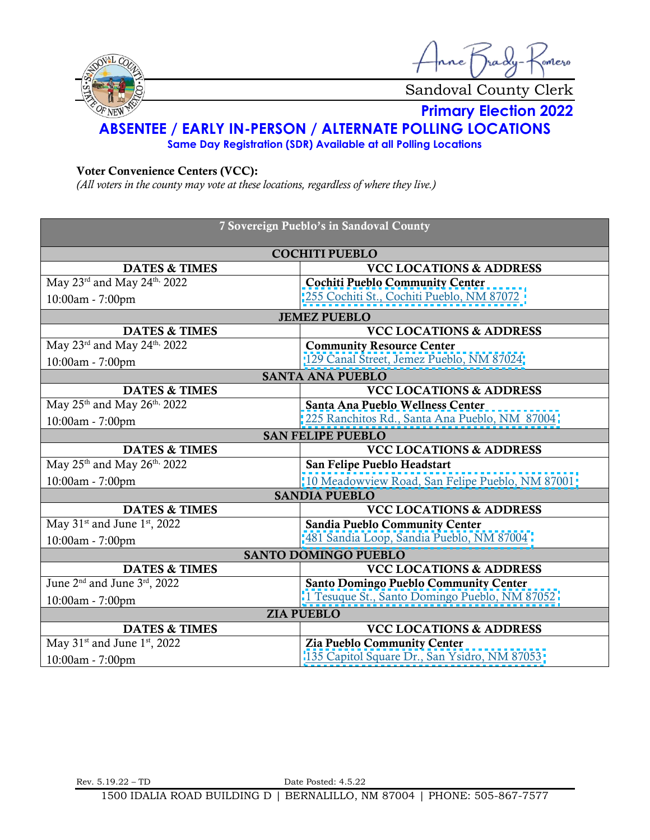

nne Trady .<br>omero

Sandoval County Clerk

**Primary Election 2022**

## **ABSENTEE / EARLY IN-PERSON / ALTERNATE POLLING LOCATIONS**

**Same Day Registration (SDR) Available at all Polling Locations**

## Voter Convenience Centers (VCC):

*(All voters in the county may vote at these locations, regardless of where they live.)*

| 7 Sovereign Pueblo's in Sandoval County              |                                                 |  |
|------------------------------------------------------|-------------------------------------------------|--|
| <b>COCHITI PUEBLO</b>                                |                                                 |  |
| <b>DATES &amp; TIMES</b>                             | <b>VCC LOCATIONS &amp; ADDRESS</b>              |  |
| May 23rd and May 24th, 2022                          | <b>Cochiti Pueblo Community Center</b>          |  |
| 10:00am - 7:00pm                                     | 255 Cochiti St., Cochiti Pueblo, NM 87072       |  |
|                                                      | <b>JEMEZ PUEBLO</b>                             |  |
| <b>DATES &amp; TIMES</b>                             | <b>VCC LOCATIONS &amp; ADDRESS</b>              |  |
| May 23rd and May 24th, 2022                          | <b>Community Resource Center</b>                |  |
| 10:00am - 7:00pm                                     | 129 Canal Street, Jemez Pueblo, NM 87024        |  |
|                                                      | <b>SANTA ANA PUEBLO</b>                         |  |
| <b>DATES &amp; TIMES</b>                             | <b>VCC LOCATIONS &amp; ADDRESS</b>              |  |
| May $25^{\text{th}}$ and May $26^{\text{th}}$ , 2022 | Santa Ana Pueblo Wellness Center                |  |
| 10:00am - 7:00pm                                     | 225 Ranchitos Rd., Santa Ana Pueblo, NM 87004   |  |
|                                                      | <b>SAN FELIPE PUEBLO</b>                        |  |
| <b>DATES &amp; TIMES</b>                             | <b>VCC LOCATIONS &amp; ADDRESS</b>              |  |
| May 25 <sup>th</sup> and May 26 <sup>th,</sup> 2022  | San Felipe Pueblo Headstart                     |  |
| 10:00am - 7:00pm                                     | 10 Meadowview Road, San Felipe Pueblo, NM 87001 |  |
|                                                      | <b>SANDIA PUEBLO</b>                            |  |
| <b>DATES &amp; TIMES</b>                             | <b>VCC LOCATIONS &amp; ADDRESS</b>              |  |
| May $31st$ and June $1st$ , 2022                     | Sandia Pueblo Community Center                  |  |
| 10:00am - 7:00pm                                     | 481 Sandia Loop, Sandia Pueblo, NM 87004        |  |
| <b>SANTO DOMINGO PUEBLO</b>                          |                                                 |  |
| <b>DATES &amp; TIMES</b>                             | <b>VCC LOCATIONS &amp; ADDRESS</b>              |  |
| June 2 <sup>nd</sup> and June 3 <sup>rd</sup> , 2022 | <b>Santo Domingo Pueblo Community Center</b>    |  |
| 10:00am - 7:00pm                                     | 1 Tesuque St., Santo Domingo Pueblo, NM 87052   |  |
| <b>ZIA PUEBLO</b>                                    |                                                 |  |
| <b>DATES &amp; TIMES</b>                             | <b>VCC LOCATIONS &amp; ADDRESS</b>              |  |
| May $31st$ and June $1st$ , 2022                     | Zia Pueblo Community Center                     |  |
| 10:00am - 7:00pm                                     | 135 Capitol Square Dr., San Ysidro, NM 87053    |  |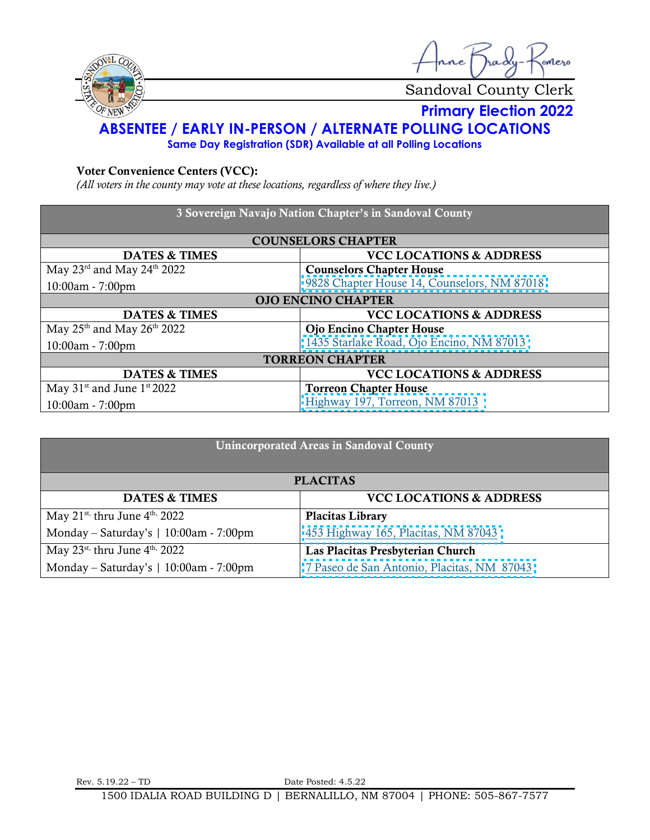

nne Jrady omero

Sandoval County Clerk

## **Primary Election 2022**

## **ABSENTEE / EARLY IN-PERSON / ALTERNATE POLLING LOCATIONS**

**Same Day Registration (SDR) Available at all Polling Locations**

## Voter Convenience Centers (VCC):

*(All voters in the county may vote at these locations, regardless of where they live.)*

| 3 Sovereign Navajo Nation Chapter's in Sandoval County |                                             |  |
|--------------------------------------------------------|---------------------------------------------|--|
|                                                        |                                             |  |
| <b>COUNSELORS CHAPTER</b>                              |                                             |  |
| <b>DATES &amp; TIMES</b>                               | <b>VCC LOCATIONS &amp; ADDRESS</b>          |  |
| May 23rd and May 24th 2022                             | <b>Counselors Chapter House</b>             |  |
| $10:00am - 7:00pm$                                     | 9828 Chapter House 14, Counselors, NM 87018 |  |
| <b>OJO ENCINO CHAPTER</b>                              |                                             |  |
| <b>DATES &amp; TIMES</b>                               | <b>VCC LOCATIONS &amp; ADDRESS</b>          |  |
| May $25th$ and May $26th$ 2022                         | Ojo Encino Chapter House                    |  |
| $10:00am - 7:00pm$                                     | 1435 Starlake Road, Ojo Encino, NM 87013    |  |
| <b>TORREON CHAPTER</b>                                 |                                             |  |
| <b>DATES &amp; TIMES</b>                               | <b>VCC LOCATIONS &amp; ADDRESS</b>          |  |
| May $31st$ and June $1st 2022$                         | <b>Torreon Chapter House</b>                |  |
| $10:00am - 7:00pm$                                     | Highway 197, Torreon, NM 87013              |  |

| <b>Unincorporated Areas in Sandoval County</b>         |                                            |  |
|--------------------------------------------------------|--------------------------------------------|--|
| <b>PLACITAS</b>                                        |                                            |  |
| <b>DATES &amp; TIMES</b>                               | <b>VCC LOCATIONS &amp; ADDRESS</b>         |  |
| May 21 <sup>st,</sup> thru June $4^{\text{th}}$ , 2022 | <b>Placitas Library</b>                    |  |
| Monday - Saturday's   10:00am - 7:00pm                 | 453 Highway 165, Placitas, NM 87043        |  |
| May 23 <sup>st,</sup> thru June $4^{\text{th}}$ , 2022 | Las Placitas Presbyterian Church           |  |
| Monday – Saturday's $\vert$ 10:00am - 7:00pm           | 7 Paseo de San Antonio, Placitas, NM 87043 |  |